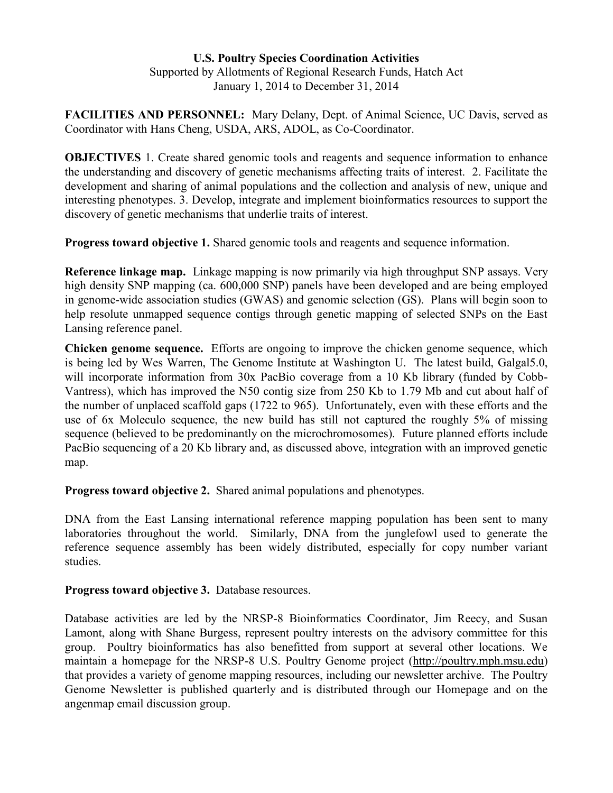## **U.S. Poultry Species Coordination Activities** Supported by Allotments of Regional Research Funds, Hatch Act January 1, 2014 to December 31, 2014

**FACILITIES AND PERSONNEL:** Mary Delany, Dept. of Animal Science, UC Davis, served as Coordinator with Hans Cheng, USDA, ARS, ADOL, as Co-Coordinator.

**OBJECTIVES** 1. Create shared genomic tools and reagents and sequence information to enhance the understanding and discovery of genetic mechanisms affecting traits of interest. 2. Facilitate the development and sharing of animal populations and the collection and analysis of new, unique and interesting phenotypes. 3. Develop, integrate and implement bioinformatics resources to support the discovery of genetic mechanisms that underlie traits of interest.

**Progress toward objective 1.** Shared genomic tools and reagents and sequence information.

**Reference linkage map.** Linkage mapping is now primarily via high throughput SNP assays. Very high density SNP mapping (ca. 600,000 SNP) panels have been developed and are being employed in genome-wide association studies (GWAS) and genomic selection (GS). Plans will begin soon to help resolute unmapped sequence contigs through genetic mapping of selected SNPs on the East Lansing reference panel.

**Chicken genome sequence.** Efforts are ongoing to improve the chicken genome sequence, which is being led by Wes Warren, The Genome Institute at Washington U. The latest build, Galgal5.0, will incorporate information from 30x PacBio coverage from a 10 Kb library (funded by Cobb-Vantress), which has improved the N50 contig size from 250 Kb to 1.79 Mb and cut about half of the number of unplaced scaffold gaps (1722 to 965). Unfortunately, even with these efforts and the use of 6x Moleculo sequence, the new build has still not captured the roughly 5% of missing sequence (believed to be predominantly on the microchromosomes). Future planned efforts include PacBio sequencing of a 20 Kb library and, as discussed above, integration with an improved genetic map.

**Progress toward objective 2.** Shared animal populations and phenotypes.

DNA from the East Lansing international reference mapping population has been sent to many laboratories throughout the world. Similarly, DNA from the junglefowl used to generate the reference sequence assembly has been widely distributed, especially for copy number variant studies.

## **Progress toward objective 3.** Database resources.

Database activities are led by the NRSP-8 Bioinformatics Coordinator, Jim Reecy, and Susan Lamont, along with Shane Burgess, represent poultry interests on the advisory committee for this group. Poultry bioinformatics has also benefitted from support at several other locations. We maintain a homepage for the NRSP-8 U.S. Poultry Genome project [\(http://poultry.mph.msu.edu\)](http://poultry.mph.msu.edu/) that provides a variety of genome mapping resources, including our newsletter archive. The Poultry Genome Newsletter is published quarterly and is distributed through our Homepage and on the angenmap email discussion group.